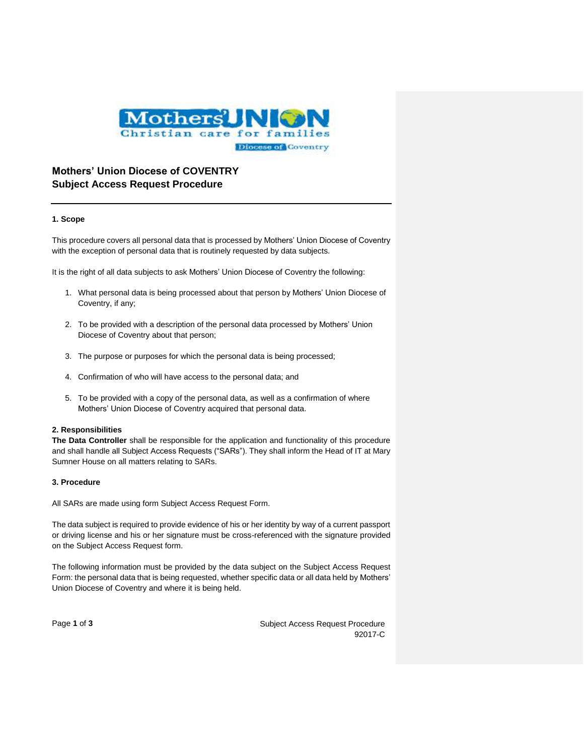

# **Mothers' Union Diocese of COVENTRY Subject Access Request Procedure**

## **1. Scope**

This procedure covers all personal data that is processed by Mothers' Union Diocese of Coventry with the exception of personal data that is routinely requested by data subjects.

It is the right of all data subjects to ask Mothers' Union Diocese of Coventry the following:

- 1. What personal data is being processed about that person by Mothers' Union Diocese of Coventry, if any;
- 2. To be provided with a description of the personal data processed by Mothers' Union Diocese of Coventry about that person;
- 3. The purpose or purposes for which the personal data is being processed;
- 4. Confirmation of who will have access to the personal data; and
- 5. To be provided with a copy of the personal data, as well as a confirmation of where Mothers' Union Diocese of Coventry acquired that personal data.

### **2. Responsibilities**

**The Data Controller** shall be responsible for the application and functionality of this procedure and shall handle all Subject Access Requests ("SARs"). They shall inform the Head of IT at Mary Sumner House on all matters relating to SARs.

## **3. Procedure**

All SARs are made using form Subject Access Request Form.

The data subject is required to provide evidence of his or her identity by way of a current passport or driving license and his or her signature must be cross-referenced with the signature provided on the Subject Access Request form.

The following information must be provided by the data subject on the Subject Access Request Form: the personal data that is being requested, whether specific data or all data held by Mothers' Union Diocese of Coventry and where it is being held.

Page 1 of 3 Subject Access Request Procedure 92017-C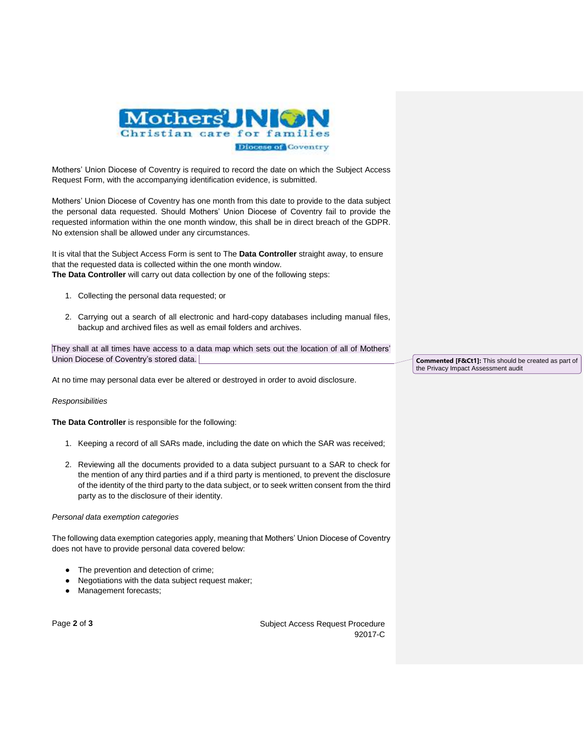

Mothers' Union Diocese of Coventry is required to record the date on which the Subject Access Request Form, with the accompanying identification evidence, is submitted.

Mothers' Union Diocese of Coventry has one month from this date to provide to the data subject the personal data requested. Should Mothers' Union Diocese of Coventry fail to provide the requested information within the one month window, this shall be in direct breach of the GDPR. No extension shall be allowed under any circumstances.

It is vital that the Subject Access Form is sent to The **Data Controller** straight away, to ensure that the requested data is collected within the one month window. **The Data Controller** will carry out data collection by one of the following steps:

- 1. Collecting the personal data requested; or
- 2. Carrying out a search of all electronic and hard-copy databases including manual files, backup and archived files as well as email folders and archives.

They shall at all times have access to a data map which sets out the location of all of Mothers' Union Diocese of Coventry's stored data.

At no time may personal data ever be altered or destroyed in order to avoid disclosure.

#### *Responsibilities*

**The Data Controller** is responsible for the following:

- 1. Keeping a record of all SARs made, including the date on which the SAR was received;
- 2. Reviewing all the documents provided to a data subject pursuant to a SAR to check for the mention of any third parties and if a third party is mentioned, to prevent the disclosure of the identity of the third party to the data subject, or to seek written consent from the third party as to the disclosure of their identity.

#### *Personal data exemption categories*

The following data exemption categories apply, meaning that Mothers' Union Diocese of Coventry does not have to provide personal data covered below:

- The prevention and detection of crime;
- Negotiations with the data subject request maker;
- Management forecasts;

Page 2 of 3 Subject Access Request Procedure 92017-C

**Commented [F&Ct1]:** This should be created as part of the Privacy Impact Assessment audit